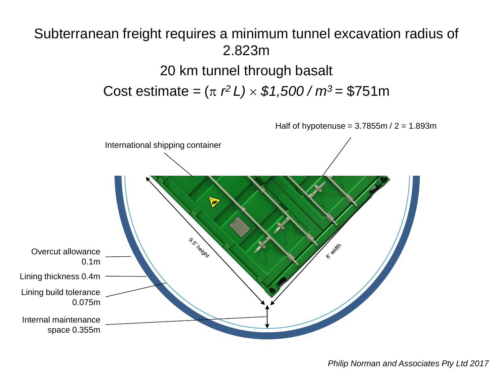#### Subterranean freight requires a minimum tunnel excavation radius of 2.823m

20 km tunnel through basalt Cost estimate =  $(\pi \ r^2 L) \times $1,500 / m^3 = $751 m$ 

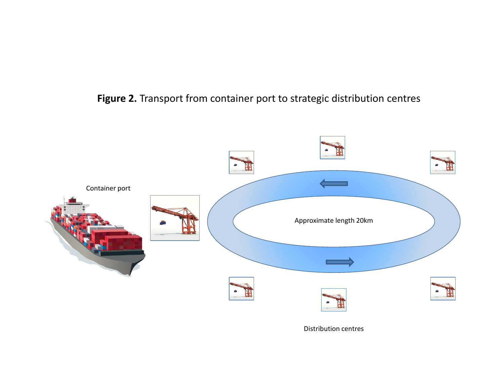#### **Figure 2.** Transport from container port to strategic distribution centres



Distribution centres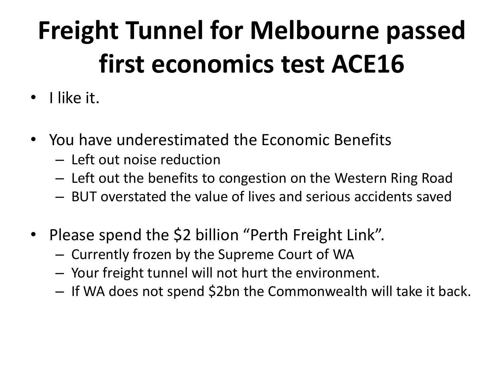# **Freight Tunnel for Melbourne passed first economics test ACE16**

- I like it.
- You have underestimated the Economic Benefits
	- Left out noise reduction
	- Left out the benefits to congestion on the Western Ring Road
	- BUT overstated the value of lives and serious accidents saved
- Please spend the \$2 billion "Perth Freight Link".
	- Currently frozen by the Supreme Court of WA
	- Your freight tunnel will not hurt the environment.
	- If WA does not spend \$2bn the Commonwealth will take it back.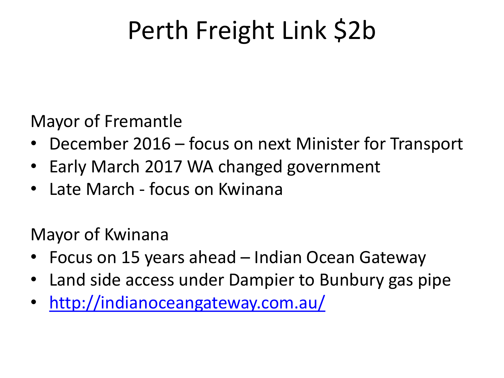## Perth Freight Link \$2b

Mayor of Fremantle

- December 2016 focus on next Minister for Transport
- Early March 2017 WA changed government
- Late March focus on Kwinana

Mayor of Kwinana

- Focus on 15 years ahead Indian Ocean Gateway
- Land side access under Dampier to Bunbury gas pipe
- <http://indianoceangateway.com.au/>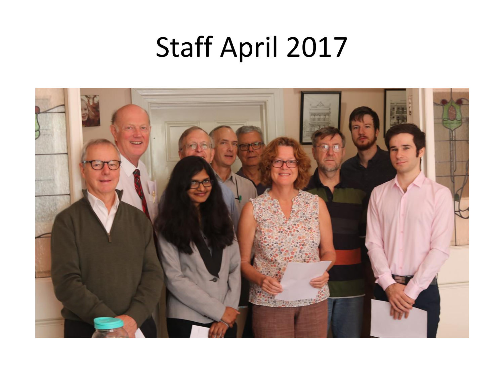## Staff April 2017

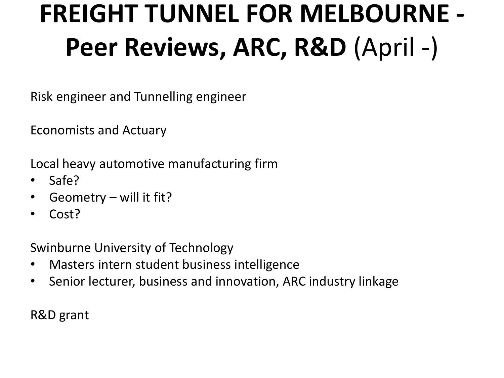# **FREIGHT TUNNEL FOR MELBOURNE - Peer Reviews, ARC, R&D** (April -)

Risk engineer and Tunnelling engineer

Economists and Actuary

Local heavy automotive manufacturing firm

- Safe?
- Geometry will it fit?
- Cost?

Swinburne University of Technology

- Masters intern student business intelligence
- Senior lecturer, business and innovation, ARC industry linkage

R&D grant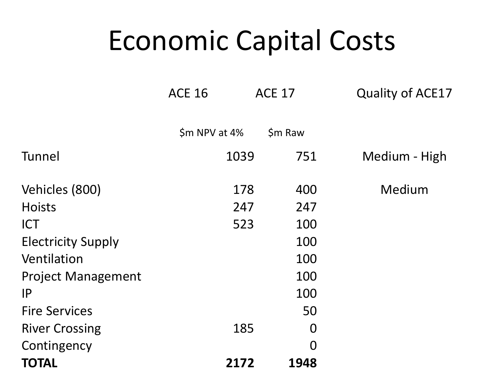#### Economic Capital Costs

|                           | <b>ACE 16</b> | <b>ACE 17</b>  | <b>Quality of ACE17</b> |
|---------------------------|---------------|----------------|-------------------------|
|                           | \$m NPV at 4% | $$m$ Raw       |                         |
| Tunnel                    | 1039          | 751            | Medium - High           |
| Vehicles (800)            | 178           | 400            | Medium                  |
| <b>Hoists</b>             | 247           | 247            |                         |
| <b>ICT</b>                | 523           | 100            |                         |
| <b>Electricity Supply</b> |               | 100            |                         |
| Ventilation               |               | 100            |                         |
| <b>Project Management</b> |               | 100            |                         |
| IP                        |               | 100            |                         |
| <b>Fire Services</b>      |               | 50             |                         |
| <b>River Crossing</b>     | 185           | $\overline{0}$ |                         |
| Contingency               |               | $\overline{0}$ |                         |
| TOTAL                     | 2172          | 1948           |                         |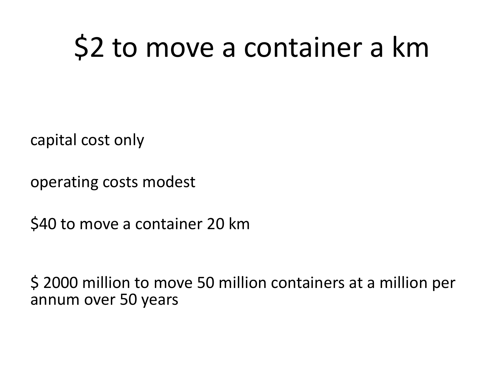# \$2 to move a container a km

capital cost only

operating costs modest

\$40 to move a container 20 km

\$ 2000 million to move 50 million containers at a million per annum over 50 years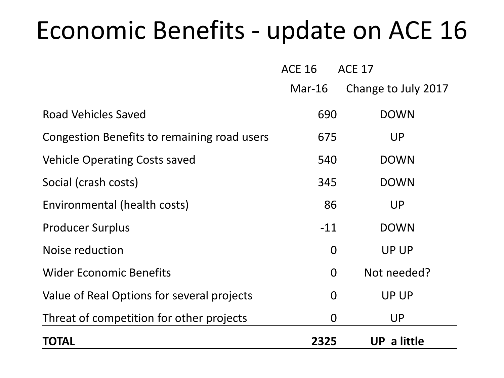#### Economic Benefits - update on ACE 16

|                                             | <b>ACE 16</b>  | <b>ACE 17</b>       |
|---------------------------------------------|----------------|---------------------|
|                                             | $Mar-16$       | Change to July 2017 |
| Road Vehicles Saved                         | 690            | <b>DOWN</b>         |
| Congestion Benefits to remaining road users | 675            | <b>UP</b>           |
| <b>Vehicle Operating Costs saved</b>        | 540            | <b>DOWN</b>         |
| Social (crash costs)                        | 345            | <b>DOWN</b>         |
| Environmental (health costs)                | 86             | <b>UP</b>           |
| <b>Producer Surplus</b>                     | $-11$          | <b>DOWN</b>         |
| Noise reduction                             | $\overline{0}$ | <b>UP UP</b>        |
| <b>Wider Economic Benefits</b>              | $\overline{0}$ | Not needed?         |
| Value of Real Options for several projects  | $\overline{0}$ | <b>UP UP</b>        |
| Threat of competition for other projects    | $\overline{0}$ | <b>UP</b>           |
| <b>TOTAL</b>                                | 2325           | UP a little         |